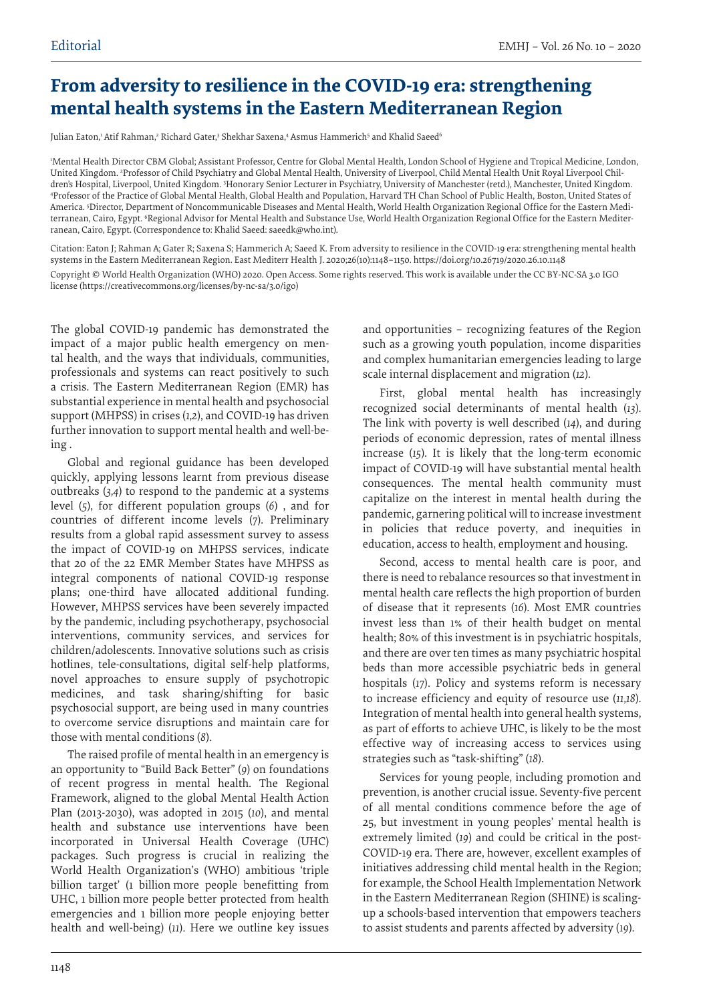## **From adversity to resilience in the COVID-19 era: strengthening mental health systems in the Eastern Mediterranean Region**

Julian Eaton,' Atif Rahman,<sup>2</sup> Richard Gater,<sup>3</sup> Shekhar Saxena,4 Asmus Hammerich<sup>5</sup> and Khalid Saeed<sup>6</sup>

1 Mental Health Director CBM Global; Assistant Professor, Centre for Global Mental Health, London School of Hygiene and Tropical Medicine, London, United Kingdom. 2 Professor of Child Psychiatry and Global Mental Health, University of Liverpool, Child Mental Health Unit Royal Liverpool Children's Hospital, Liverpool, United Kingdom. Honorary Senior Lecturer in Psychiatry, University of Manchester (retd.), Manchester, United Kingdom.<br>Drofessor of the Practice of Global Mental Health. Global Health and Populat Professor of the Practice of Global Mental Health, Global Health and Population, Harvard TH Chan School of Public Health, Boston, United States of America. 5 Director, Department of Noncommunicable Diseases and Mental Health, World Health Organization Regional Office for the Eastern Mediterranean, Cairo, Egypt. 'Regional Advisor for Mental Health and Substance Use, World Health Organization Regional Office for the Eastern Mediterranean, Cairo, Egypt. (Correspondence to: Khalid Saeed: saeedk@who.int).

Citation: Eaton J; Rahman A; Gater R; Saxena S; Hammerich A; Saeed K. From adversity to resilience in the COVID-19 era: strengthening mental health systems in the Eastern Mediterranean Region. East Mediterr Health J. 2020;26(10):1148–1150. https://doi.org/10.26719/2020.26.10.1148 Copyright © World Health Organization (WHO) 2020. Open Access. Some rights reserved. This work is available under the CC BY-NC-SA 3.0 IGO license (https://creativecommons.org/licenses/by-nc-sa/3.0/igo)

The global COVID-19 pandemic has demonstrated the impact of a major public health emergency on mental health, and the ways that individuals, communities, professionals and systems can react positively to such a crisis. The Eastern Mediterranean Region (EMR) has substantial experience in mental health and psychosocial support (MHPSS) in crises (*1,2*), and COVID-19 has driven further innovation to support mental health and well-being .

Global and regional guidance has been developed quickly, applying lessons learnt from previous disease outbreaks (*3,4*) to respond to the pandemic at a systems level (*5*), for different population groups (*6*) , and for countries of different income levels (*7*). Preliminary results from a global rapid assessment survey to assess the impact of COVID-19 on MHPSS services, indicate that 20 of the 22 EMR Member States have MHPSS as integral components of national COVID-19 response plans; one-third have allocated additional funding. However, MHPSS services have been severely impacted by the pandemic, including psychotherapy, psychosocial interventions, community services, and services for children/adolescents. Innovative solutions such as crisis hotlines, tele-consultations, digital self-help platforms, novel approaches to ensure supply of psychotropic medicines, and task sharing/shifting for basic psychosocial support, are being used in many countries to overcome service disruptions and maintain care for those with mental conditions (*8*).

The raised profile of mental health in an emergency is an opportunity to "Build Back Better" (*9*) on foundations of recent progress in mental health. The Regional Framework, aligned to the global Mental Health Action Plan (2013-2030), was adopted in 2015 (*10*), and mental health and substance use interventions have been incorporated in Universal Health Coverage (UHC) packages. Such progress is crucial in realizing the World Health Organization's (WHO) ambitious 'triple billion target' (1 billion more people benefitting from UHC, 1 billion more people better protected from health emergencies and 1 billion more people enjoying better health and well-being) (*11*). Here we outline key issues

and opportunities – recognizing features of the Region such as a growing youth population, income disparities and complex humanitarian emergencies leading to large scale internal displacement and migration (*12*).

First, global mental health has increasingly recognized social determinants of mental health (*13*). The link with poverty is well described (*14*), and during periods of economic depression, rates of mental illness increase (*15*). It is likely that the long-term economic impact of COVID-19 will have substantial mental health consequences. The mental health community must capitalize on the interest in mental health during the pandemic, garnering political will to increase investment in policies that reduce poverty, and inequities in education, access to health, employment and housing.

Second, access to mental health care is poor, and there is need to rebalance resources so that investment in mental health care reflects the high proportion of burden of disease that it represents (*16*). Most EMR countries invest less than 1% of their health budget on mental health; 80% of this investment is in psychiatric hospitals, and there are over ten times as many psychiatric hospital beds than more accessible psychiatric beds in general hospitals (*17*). Policy and systems reform is necessary to increase efficiency and equity of resource use (*11,18*). Integration of mental health into general health systems, as part of efforts to achieve UHC, is likely to be the most effective way of increasing access to services using strategies such as "task-shifting" (*18*).

Services for young people, including promotion and prevention, is another crucial issue. Seventy-five percent of all mental conditions commence before the age of 25, but investment in young peoples' mental health is extremely limited (*19*) and could be critical in the post-COVID-19 era. There are, however, excellent examples of initiatives addressing child mental health in the Region; for example, the School Health Implementation Network in the Eastern Mediterranean Region (SHINE) is scalingup a schools-based intervention that empowers teachers to assist students and parents affected by adversity (*19*).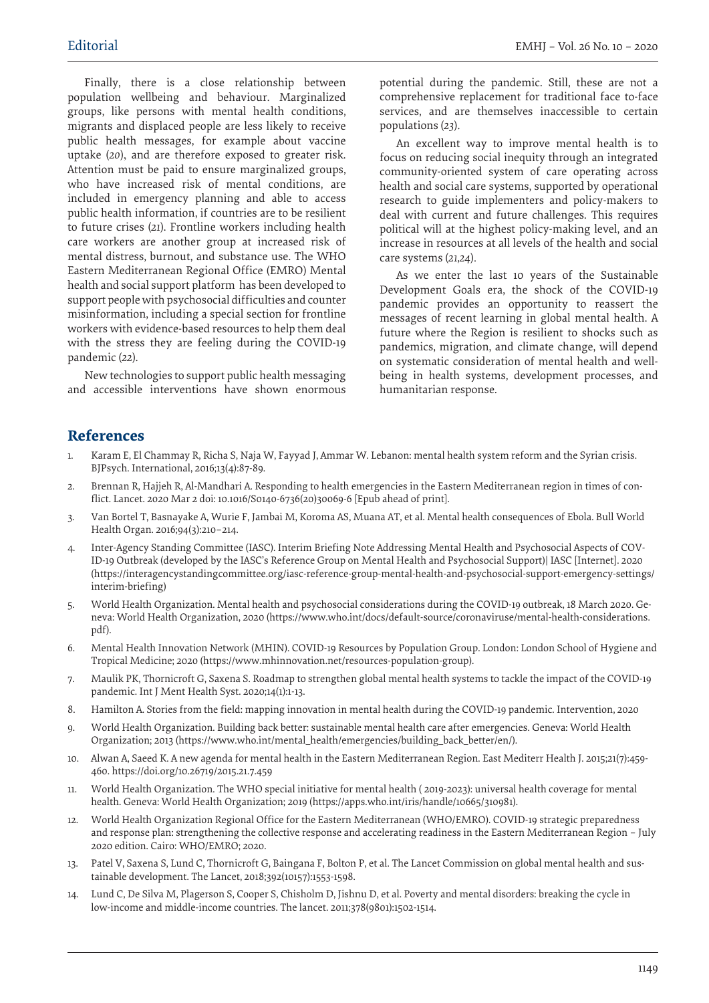Finally, there is a close relationship between population wellbeing and behaviour. Marginalized groups, like persons with mental health conditions, migrants and displaced people are less likely to receive public health messages, for example about vaccine uptake (*20*), and are therefore exposed to greater risk. Attention must be paid to ensure marginalized groups, who have increased risk of mental conditions, are included in emergency planning and able to access public health information, if countries are to be resilient to future crises (*21*). Frontline workers including health care workers are another group at increased risk of mental distress, burnout, and substance use. The WHO Eastern Mediterranean Regional Office (EMRO) Mental health and social support platform has been developed to support people with psychosocial difficulties and counter misinformation, including a special section for frontline workers with evidence-based resources to help them deal with the stress they are feeling during the COVID-19 pandemic (*22*).

New technologies to support public health messaging and accessible interventions have shown enormous

potential during the pandemic. Still, these are not a comprehensive replacement for traditional face to-face services, and are themselves inaccessible to certain populations (*23*).

An excellent way to improve mental health is to focus on reducing social inequity through an integrated community-oriented system of care operating across health and social care systems, supported by operational research to guide implementers and policy-makers to deal with current and future challenges. This requires political will at the highest policy-making level, and an increase in resources at all levels of the health and social care systems (*21,24*).

As we enter the last 10 years of the Sustainable Development Goals era, the shock of the COVID-19 pandemic provides an opportunity to reassert the messages of recent learning in global mental health. A future where the Region is resilient to shocks such as pandemics, migration, and climate change, will depend on systematic consideration of mental health and wellbeing in health systems, development processes, and humanitarian response.

## **References**

- 1. Karam E, El Chammay R, Richa S, Naja W, Fayyad J, Ammar W. Lebanon: mental health system reform and the Syrian crisis. BJPsych. International, 2016;13(4):87-89.
- 2. Brennan R, Hajjeh R, Al-Mandhari A. Responding to health emergencies in the Eastern Mediterranean region in times of conflict. Lancet. 2020 Mar 2 doi: 10.1016/S0140-6736(20)30069-6 [Epub ahead of print].
- 3. Van Bortel T, Basnayake A, Wurie F, Jambai M, Koroma AS, Muana AT, et al. Mental health consequences of Ebola. Bull World Health Organ. 2016;94(3):210–214.
- 4. Inter-Agency Standing Committee (IASC). Interim Briefing Note Addressing Mental Health and Psychosocial Aspects of COV-ID-19 Outbreak (developed by the IASC's Reference Group on Mental Health and Psychosocial Support)| IASC [Internet]. 2020 (https://interagencystandingcommittee.org/iasc-reference-group-mental-health-and-psychosocial-support-emergency-settings/ interim-briefing)
- 5. World Health Organization. Mental health and psychosocial considerations during the COVID-19 outbreak, 18 March 2020. Geneva: World Health Organization, 2020 (https://www.who.int/docs/default-source/coronaviruse/mental-health-considerations. pdf).
- 6. Mental Health Innovation Network (MHIN). COVID-19 Resources by Population Group. London: London School of Hygiene and Tropical Medicine; 2020 (https://www.mhinnovation.net/resources-population-group).
- 7. Maulik PK, Thornicroft G, Saxena S. Roadmap to strengthen global mental health systems to tackle the impact of the COVID-19 pandemic. Int J Ment Health Syst. 2020;14(1):1-13.
- 8. Hamilton A. Stories from the field: mapping innovation in mental health during the COVID-19 pandemic. Intervention, 2020
- 9. World Health Organization. Building back better: sustainable mental health care after emergencies. Geneva: World Health Organization; 2013 (https://www.who.int/mental\_health/emergencies/building\_back\_better/en/).
- 10. Alwan A, Saeed K. A new agenda for mental health in the Eastern Mediterranean Region. East Mediterr Health J. 2015;21(7):459- 460. https://doi.org/10.26719/2015.21.7.459
- 11. World Health Organization. The WHO special initiative for mental health ( 2019-2023): universal health coverage for mental health. Geneva: World Health Organization; 2019 (https://apps.who.int/iris/handle/10665/310981).
- 12. World Health Organization Regional Office for the Eastern Mediterranean (WHO/EMRO). COVID-19 strategic preparedness and response plan: strengthening the collective response and accelerating readiness in the Eastern Mediterranean Region – July 2020 edition. Cairo: WHO/EMRO; 2020.
- 13. Patel V, Saxena S, Lund C, Thornicroft G, Baingana F, Bolton P, et al. The Lancet Commission on global mental health and sustainable development. The Lancet, 2018;392(10157):1553-1598.
- 14. Lund C, De Silva M, Plagerson S, Cooper S, Chisholm D, Jishnu D, et al. Poverty and mental disorders: breaking the cycle in low-income and middle-income countries. The lancet. 2011;378(9801):1502-1514.